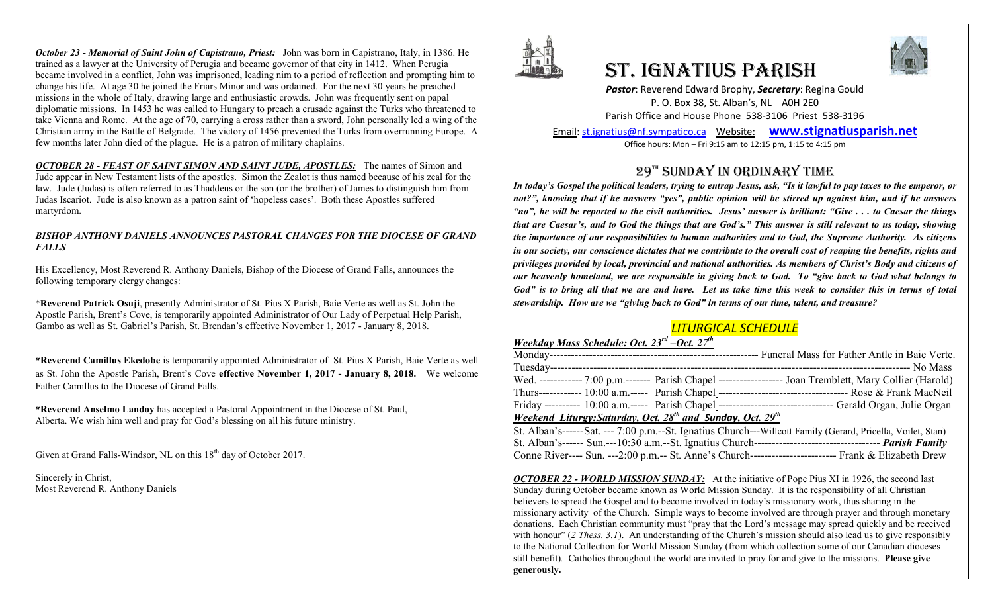*October 23 - Memorial of Saint John of Capistrano, Priest:* John was born in Capistrano, Italy, in 1386. He trained as a lawyer at the University of Perugia and became governor of that city in 1412. When Perugia became involved in a conflict, John was imprisoned, leading nim to a period of reflection and prompting him to change his life. At age 30 he joined the Friars Minor and was ordained. For the next 30 years he preached missions in the whole of Italy, drawing large and enthusiastic crowds. John was frequently sent on papal diplomatic missions. In 1453 he was called to Hungary to preach a crusade against the Turks who threatened to take Vienna and Rome. At the age of 70, carrying a cross rather than a sword, John personally led a wing of the Christian army in the Battle of Belgrade. The victory of 1456 prevented the Turks from overrunning Europe. A few months later John died of the plague. He is a patron of military chaplains.

*OCTOBER 28 - FEAST OF SAINT SIMON AND SAINT JUDE, APOSTLES:* The names of Simon and Jude appear in New Testament lists of the apostles. Simon the Zealot is thus named because of his zeal for the law. Jude (Judas) is often referred to as Thaddeus or the son (or the brother) of James to distinguish him from Judas Iscariot. Jude is also known as a patron saint of 'hopeless cases'. Both these Apostles suffered martyrdom.

#### *BISHOP ANTHONY DANIELS ANNOUNCES PASTORAL CHANGES FOR THE DIOCESE OF GRAND FALLS*

His Excellency, Most Reverend R. Anthony Daniels, Bishop of the Diocese of Grand Falls, announces the following temporary clergy changes:

\***Reverend Patrick Osuji**, presently Administrator of St. Pius X Parish, Baie Verte as well as St. John the Apostle Parish, Brent's Cove, is temporarily appointed Administrator of Our Lady of Perpetual Help Parish, Gambo as well as St. Gabriel's Parish, St. Brendan's effective November 1, 2017 - January 8, 2018.

**\*Reverend Camillus Ekedobe** is temporarily appointed Administrator of St. Pius X Parish, Baie Verte as well as St. John the Apostle Parish, Brent's Cove **effective November 1, 2017 - January 8, 2018.** We welcome Father Camillus to the Diocese of Grand Falls.

**\*Reverend Anselmo Landoy** has accepted a Pastoral Appointment in the Diocese of St. Paul, Alberta. We wish him well and pray for God's blessing on all his future ministry.

Given at Grand Falls-Windsor, NL on this 18<sup>th</sup> day of October 2017.

Sincerely in Christ, Most Reverend R. Anthony Daniels



# ST. IgNATIUS PARISH



*Pastor*: Reverend Edward Brophy, *Secretary*: Regina Gould P. O. Box 38, St. Alban's, NL A0H 2E0 Parish Office and House Phone 538-3106 Priest 538-3196

Email[: st.ignatius@nf.sympatico.ca](mailto:st.ignatius@nf.sympatico.ca) Website: **[www.stignatiusparish.net](http://www.stignatiusparish.net/)** Office hours: Mon – Fri 9:15 am to 12:15 pm, 1:15 to 4:15 pm

# 29TH SUNDAY IN ORDINARY TIME

*In today's Gospel the political leaders, trying to entrap Jesus, ask, "Is it lawful to pay taxes to the emperor, or not?", knowing that if he answers "yes", public opinion will be stirred up against him, and if he answers "no", he will be reported to the civil authorities. Jesus' answer is brilliant: "Give . . . to Caesar the things that are Caesar's, and to God the things that are God's." This answer is still relevant to us today, showing the importance of our responsibilities to human authorities and to God, the Supreme Authority. As citizens in our society, our conscience dictates that we contribute to the overall cost of reaping the benefits, rights and privileges provided by local, provincial and national authorities. As members of Christ's Body and citizens of our heavenly homeland, we are responsible in giving back to God. To "give back to God what belongs to God" is to bring all that we are and have. Let us take time this week to consider this in terms of total stewardship. How are we "giving back to God" in terms of our time, talent, and treasure?*

# *LITURGICAL SCHEDULE*

## *Weekday Mass Schedule: Oct. 23rd –Oct. 27th*

|                                                                                            |  | Wed. ------------ 7:00 p.m.------- Parish Chapel ------------------- Joan Tremblett, Mary Collier (Harold)  |  |
|--------------------------------------------------------------------------------------------|--|-------------------------------------------------------------------------------------------------------------|--|
|                                                                                            |  |                                                                                                             |  |
|                                                                                            |  | Friday ---------- 10:00 a.m.----- Parish Chapel --------------------------------- Gerald Organ, Julie Organ |  |
| Weekend Liturgy: Saturday, Oct. 28 <sup>th</sup> and <b>Sunday</b> , Oct. 29 <sup>th</sup> |  |                                                                                                             |  |

| St. Alban's------Sat. --- 7:00 p.m.--St. Ignatius Church---Willcott Family (Gerard, Pricella, Voilet, Stan) |  |
|-------------------------------------------------------------------------------------------------------------|--|
|                                                                                                             |  |
| Conne River---- Sun. ---2:00 p.m.-- St. Anne's Church--------------------------- Frank & Elizabeth Drew     |  |

*OCTOBER 22 - WORLD MISSION SUNDAY:* At the initiative of Pope Pius XI in 1926, the second last Sunday during October became known as World Mission Sunday. It is the responsibility of all Christian believers to spread the Gospel and to become involved in today's missionary work, thus sharing in the missionary activity of the Church. Simple ways to become involved are through prayer and through monetary donations. Each Christian community must "pray that the Lord's message may spread quickly and be received with honour" (2 Thess. 3.1). An understanding of the Church's mission should also lead us to give responsibly to the National Collection for World Mission Sunday (from which collection some of our Canadian dioceses still benefit)*.* Catholics throughout the world are invited to pray for and give to the missions. **Please give generously.**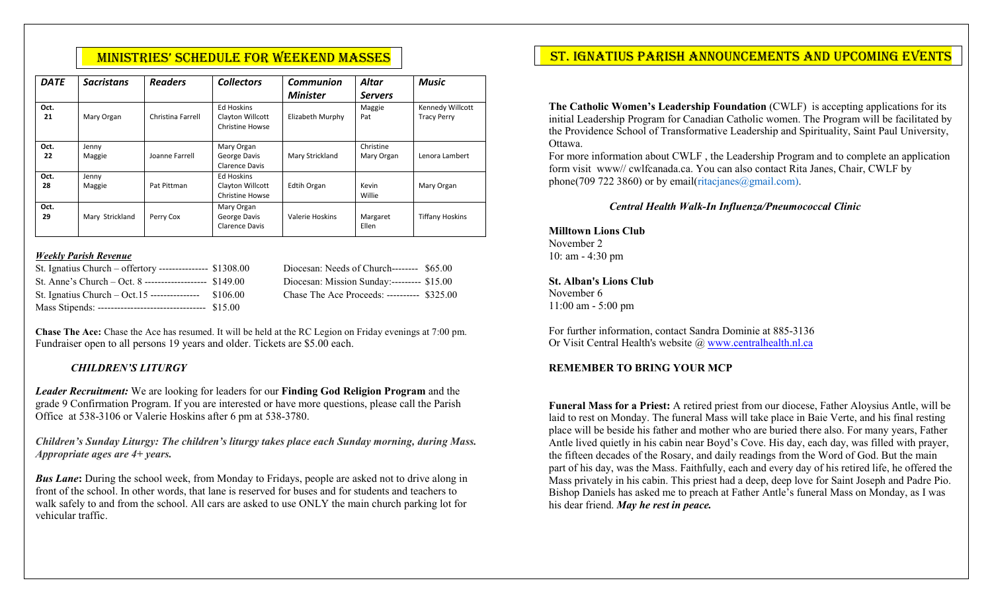| <b>DATE</b> | <b>Sacristans</b> | <b>Readers</b>    | <b>Collectors</b>                                        | Communion<br><b>Minister</b> | <b>Altar</b><br><b>Servers</b> | <b>Music</b>                           |
|-------------|-------------------|-------------------|----------------------------------------------------------|------------------------------|--------------------------------|----------------------------------------|
| Oct.<br>21  | Mary Organ        | Christina Farrell | <b>Ed Hoskins</b><br>Clayton Willcott<br>Christine Howse | Elizabeth Murphy             | Maggie<br>Pat                  | Kennedy Willcott<br><b>Tracy Perry</b> |
| Oct.<br>22  | Jenny<br>Maggie   | Joanne Farrell    | Mary Organ<br>George Davis<br><b>Clarence Davis</b>      | Mary Strickland              | Christine<br>Mary Organ        | Lenora Lambert                         |
| Oct.<br>28  | Jenny<br>Maggie   | Pat Pittman       | <b>Ed Hoskins</b><br>Clayton Willcott<br>Christine Howse | Edtih Organ                  | Kevin<br>Willie                | Mary Organ                             |
| Oct.<br>29  | Mary Strickland   | Perry Cox         | Mary Organ<br>George Davis<br><b>Clarence Davis</b>      | Valerie Hoskins              | Margaret<br>Ellen              | <b>Tiffany Hoskins</b>                 |

#### *Weekly Parish Revenue*

| St. Ignatius Church – offertory --------------- $$1308.00$ | Diocesan: Needs of Church-------- \$65.00   |  |
|------------------------------------------------------------|---------------------------------------------|--|
| St. Anne's Church – Oct. 8 --------------------- $$149.00$ | Diocesan: Mission Sunday:--------- \$15.00  |  |
| St. Ignatius Church – Oct. 15 ---------------- $$106.00$   | Chase The Ace Proceeds: ---------- \$325.00 |  |
| Mass Stipends: ----------------------------------- \$15.00 |                                             |  |

**Chase The Ace:** Chase the Ace has resumed. It will be held at the RC Legion on Friday evenings at 7:00 pm. Fundraiser open to all persons 19 years and older. Tickets are \$5.00 each.

#### *CHILDREN'S LITURGY*

*Leader Recruitment:* We are looking for leaders for our **Finding God Religion Program** and the grade 9 Confirmation Program. If you are interested or have more questions, please call the Parish Office at 538-3106 or Valerie Hoskins after 6 pm at 538-3780.

*Children's Sunday Liturgy: The children's liturgy takes place each Sunday morning, during Mass. Appropriate ages are 4+ years.* 

*Bus Lane*: During the school week, from Monday to Fridays, people are asked not to drive along in front of the school. In other words, that lane is reserved for buses and for students and teachers to walk safely to and from the school. All cars are asked to use ONLY the main church parking lot for vehicular traffic.

# MINISTRIES' SCHEDULE FOR WEEKEND MASSES NACH ST. IGNATIUS PARISH ANNOUNCEMENTS AND UPCOMING EVENTS

**The Catholic Women's Leadership Foundation** (CWLF) is accepting applications for its initial Leadership Program for Canadian Catholic women. The Program will be facilitated by the Providence School of Transformative Leadership and Spirituality, Saint Paul University, Ottawa.

For more information about CWLF , the Leadership Program and to complete an application form visit www// cwlfcanada.ca. You can also contact Rita Janes, Chair, CWLF by phone(709 722 3860) or by email(ritacjanes@gmail.com).

### *Central Health Walk-In Influenza/Pneumococcal Clinic*

**Milltown Lions Club** November 2 10: am - 4:30 pm

**St. Alban's Lions Club** November 6 11:00 am - 5:00 pm

For further information, contact Sandra Dominie at 885-3136 Or Visit Central Health's website @ [www.centralhealth.nl.ca](http://www.centralhealth.nl.ca/)

#### **REMEMBER TO BRING YOUR MCP**

**Funeral Mass for a Priest:** A retired priest from our diocese, Father Aloysius Antle, will be laid to rest on Monday. The funeral Mass will take place in Baie Verte, and his final resting place will be beside his father and mother who are buried there also. For many years, Father Antle lived quietly in his cabin near Boyd's Cove. His day, each day, was filled with prayer, the fifteen decades of the Rosary, and daily readings from the Word of God. But the main part of his day, was the Mass. Faithfully, each and every day of his retired life, he offered the Mass privately in his cabin. This priest had a deep, deep love for Saint Joseph and Padre Pio. Bishop Daniels has asked me to preach at Father Antle's funeral Mass on Monday, as I was his dear friend. *May he rest in peace.*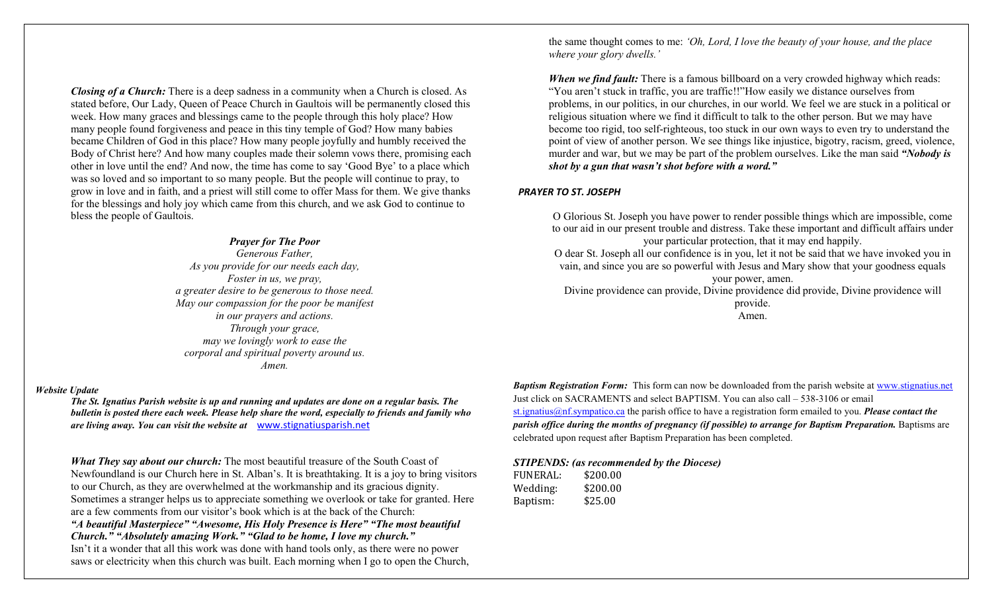*Closing of a Church:* There is a deep sadness in a community when a Church is closed. As stated before, Our Lady, Queen of Peace Church in Gaultois will be permanently closed this week. How many graces and blessings came to the people through this holy place? How many people found forgiveness and peace in this tiny temple of God? How many babies became Children of God in this place? How many people joyfully and humbly received the Body of Christ here? And how many couples made their solemn vows there, promising each other in love until the end? And now, the time has come to say 'Good Bye' to a place which was so loved and so important to so many people. But the people will continue to pray, to grow in love and in faith, and a priest will still come to offer Mass for them. We give thanks for the blessings and holy joy which came from this church, and we ask God to continue to bless the people of Gaultois.

#### *Prayer for The Poor*

*Generous Father, As you provide for our needs each day, Foster in us, we pray, a greater desire to be generous to those need. May our compassion for the poor be manifest in our prayers and actions. Through your grace, may we lovingly work to ease the corporal and spiritual poverty around us. Amen.*

#### *Website Update*

*The St. Ignatius Parish website is up and running and updates are done on a regular basis. The bulletin is posted there each week. Please help share the word, especially to friends and family who are living away. You can visit the website at* [www.stignatiusparish.net](http://www.stignatiusparish.net/)

*What They say about our church:* The most beautiful treasure of the South Coast of Newfoundland is our Church here in St. Alban's. It is breathtaking. It is a joy to bring visitors to our Church, as they are overwhelmed at the workmanship and its gracious dignity. Sometimes a stranger helps us to appreciate something we overlook or take for granted. Here are a few comments from our visitor's book which is at the back of the Church: *"A beautiful Masterpiece" "Awesome, His Holy Presence is Here" "The most beautiful Church." "Absolutely amazing Work." "Glad to be home, I love my church."*  Isn't it a wonder that all this work was done with hand tools only, as there were no power saws or electricity when this church was built. Each morning when I go to open the Church,

the same thought comes to me: *'Oh, Lord, I love the beauty of your house, and the place where your glory dwells.'*

*When we find fault:* There is a famous billboard on a very crowded highway which reads: "You aren't stuck in traffic, you are traffic!!"How easily we distance ourselves from problems, in our politics, in our churches, in our world. We feel we are stuck in a political or religious situation where we find it difficult to talk to the other person. But we may have become too rigid, too self-righteous, too stuck in our own ways to even try to understand the point of view of another person. We see things like injustice, bigotry, racism, greed, violence, murder and war, but we may be part of the problem ourselves. Like the man said *"Nobody is shot by a gun that wasn't shot before with a word."*

#### *PRAYER TO ST. JOSEPH*

O Glorious St. Joseph you have power to render possible things which are impossible, come to our aid in our present trouble and distress. Take these important and difficult affairs under your particular protection, that it may end happily. O dear St. Joseph all our confidence is in you, let it not be said that we have invoked you in vain, and since you are so powerful with Jesus and Mary show that your goodness equals

your power, amen.

Divine providence can provide, Divine providence did provide, Divine providence will

provide. Amen.

*Baptism Registration Form:* This form can now be downloaded from the parish website at www.stignatius.net Just click on SACRAMENTS and select BAPTISM. You can also call – 538-3106 or email st.ignatius@nf.sympatico.ca the parish office to have a registration form emailed to you. *Please contact the parish office during the months of pregnancy (if possible) to arrange for Baptism Preparation.* Baptisms are celebrated upon request after Baptism Preparation has been completed.

#### *STIPENDS: (as recommended by the Diocese)*

| FUNERAL: | \$200.00 |
|----------|----------|
| Wedding: | \$200.00 |
| Baptism: | \$25.00  |